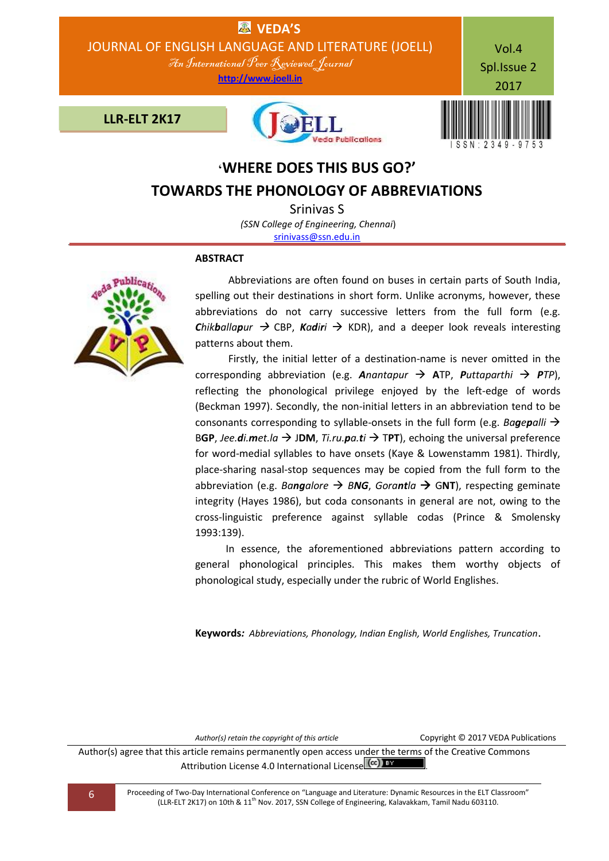

# **'WHERE DOES THIS BUS GO?' TOWARDS THE PHONOLOGY OF ABBREVIATIONS**

Srinivas S *(SSN College of Engineering, Chennai*) [srinivass@ssn.edu.in](mailto:srinivass@ssn.edu.in)

# **ABSTRACT**



 Abbreviations are often found on buses in certain parts of South India, spelling out their destinations in short form. Unlike acronyms, however, these abbreviations do not carry successive letters from the full form (e.g. *Chikballapur*  $\rightarrow$  CBP, *Kadiri*  $\rightarrow$  KDR), and a deeper look reveals interesting patterns about them.

 Firstly, the initial letter of a destination-name is never omitted in the corresponding abbreviation (e.g. *Anantapur*  $\rightarrow$  ATP, *Puttaparthi*  $\rightarrow$  *PTP*), reflecting the phonological privilege enjoyed by the left-edge of words (Beckman 1997). Secondly, the non-initial letters in an abbreviation tend to be consonants corresponding to syllable-onsets in the full form (e.g. *Bagepalli*  BGP, *Jee.di.met.la*  $\rightarrow$  JDM, *Ti.ru.pa.ti*  $\rightarrow$  TPT), echoing the universal preference for word-medial syllables to have onsets (Kaye & Lowenstamm 1981). Thirdly, place-sharing nasal-stop sequences may be copied from the full form to the abbreviation (e.g. *Bangalore BNG*, *Gorantla* G**NT**), respecting geminate integrity (Hayes 1986), but coda consonants in general are not, owing to the cross-linguistic preference against syllable codas (Prince & Smolensky 1993:139).

 In essence, the aforementioned abbreviations pattern according to general phonological principles. This makes them worthy objects of phonological study, especially under the rubric of World Englishes.

**Keywords***: Abbreviations, Phonology, Indian English, World Englishes, Truncation*.

*Author(s) retain the copyright of this article* Copyright © 2017 VEDA Publications

Author(s) agree that this article remains permanently open access under the terms of the Creative Commons Attribution License 4.0 International License (cc) EY

6 Proceeding of Two-Day International Conference on "Language and Literature: Dynamic Resources in the ELT Classroom" (LLR-ELT 2K17) on 10th & 11th Nov. 2017, SSN College of Engineering, Kalavakkam, Tamil Nadu 603110.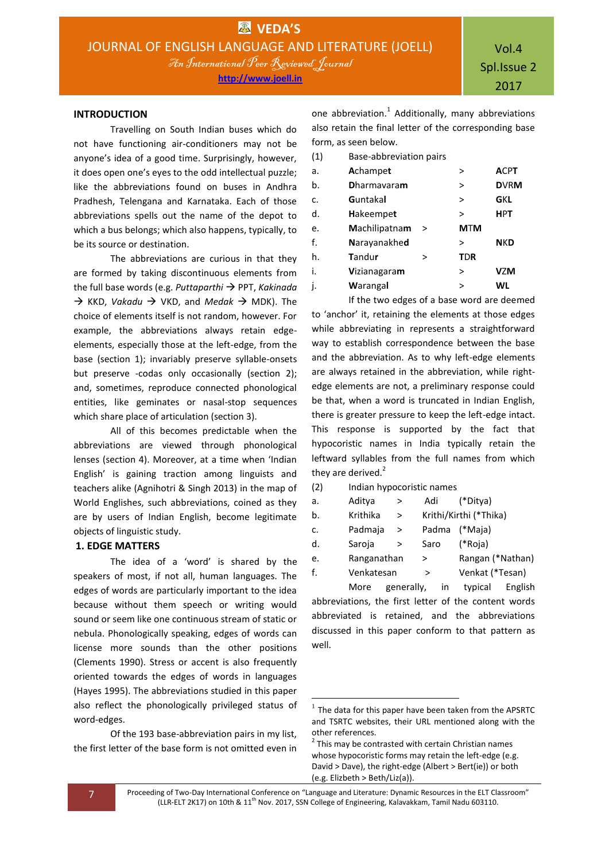## **INTRODUCTION**

Travelling on South Indian buses which do not have functioning air-conditioners may not be anyone's idea of a good time. Surprisingly, however, it does open one's eyes to the odd intellectual puzzle; like the abbreviations found on buses in Andhra Pradhesh, Telengana and Karnataka. Each of those abbreviations spells out the name of the depot to which a bus belongs; which also happens, typically, to be its source or destination.

The abbreviations are curious in that they are formed by taking discontinuous elements from the full base words (e.g. *Puttaparthi* → PPT, *Kakinada*  $\rightarrow$  KKD, *Vakadu*  $\rightarrow$  VKD, and *Medak*  $\rightarrow$  MDK). The choice of elements itself is not random, however. For example, the abbreviations always retain edgeelements, especially those at the left-edge, from the base (section 1); invariably preserve syllable-onsets but preserve -codas only occasionally (section 2); and, sometimes, reproduce connected phonological entities, like geminates or nasal-stop sequences which share place of articulation (section 3).

All of this becomes predictable when the abbreviations are viewed through phonological lenses (section 4). Moreover, at a time when 'Indian English' is gaining traction among linguists and teachers alike (Agnihotri & Singh 2013) in the map of World Englishes, such abbreviations, coined as they are by users of Indian English, become legitimate objects of linguistic study.

## **1. EDGE MATTERS**

The idea of a 'word' is shared by the speakers of most, if not all, human languages. The edges of words are particularly important to the idea because without them speech or writing would sound or seem like one continuous stream of static or nebula. Phonologically speaking, edges of words can license more sounds than the other positions (Clements 1990). Stress or accent is also frequently oriented towards the edges of words in languages (Hayes 1995). The abbreviations studied in this paper also reflect the phonologically privileged status of word-edges.

Of the 193 base-abbreviation pairs in my list, the first letter of the base form is not omitted even in

one abbreviation.<sup>1</sup> Additionally, many abbreviations also retain the final letter of the corresponding base form, as seen below.

| (1) | Base-abbreviation pairs |   |            |             |
|-----|-------------------------|---|------------|-------------|
| a.  | <b>A</b> champet        |   | >          | <b>ACPT</b> |
| b.  | <b>Dharmavaram</b>      |   | $\, > \,$  | <b>DVRM</b> |
| c.  | Guntakal                |   | $\geq$     | GKL         |
| d.  | <b>Hakeempet</b>        |   | >          | <b>HPT</b>  |
| e.  | Machilipatnam           | > | <b>MTM</b> |             |
| f.  | Narayanakhed            |   | >          | <b>NKD</b>  |
| h.  | Tandur                  | > | <b>TDR</b> |             |
| i.  | Vizianagaram            |   | $\geq$     | <b>VZM</b>  |
| j.  | Warangal                |   | >          | WL          |
|     |                         |   |            |             |

If the two edges of a base word are deemed to 'anchor' it, retaining the elements at those edges while abbreviating in represents a straightforward way to establish correspondence between the base and the abbreviation. As to why left-edge elements are always retained in the abbreviation, while rightedge elements are not, a preliminary response could be that, when a word is truncated in Indian English, there is greater pressure to keep the left-edge intact. This response is supported by the fact that hypocoristic names in India typically retain the leftward syllables from the full names from which they are derived. $2$ 

(2) Indian hypocoristic names

| a. | Aditya      | > | Adi  | (*Ditya)               |  |
|----|-------------|---|------|------------------------|--|
| b. | Krithika    | > |      | Krithi/Kirthi (*Thika) |  |
| c. | Padmaja     | > |      | Padma (*Maja)          |  |
| d. | Saroja      | > | Saro | (*Roja)                |  |
| e. | Ranganathan |   | >    | Rangan (*Nathan)       |  |
| f. | Venkatesan  |   | >    | Venkat (*Tesan)        |  |
|    |             |   |      |                        |  |

More generally, in typical English abbreviations, the first letter of the content words abbreviated is retained, and the abbreviations discussed in this paper conform to that pattern as well.

7 Proceeding of Two-Day International Conference on "Language and Literature: Dynamic Resources in the ELT Classroom" (LLR-ELT 2K17) on 10th & 11<sup>th</sup> Nov. 2017, SSN College of Engineering, Kalavakkam, Tamil Nadu 603110.

 $\overline{a}$ 

 $<sup>1</sup>$  The data for this paper have been taken from the APSRTC</sup> and TSRTC websites, their URL mentioned along with the other references.

 $2$  This may be contrasted with certain Christian names whose hypocoristic forms may retain the left-edge (e.g. David > Dave), the right-edge (Albert > Bert(ie)) or both (e.g. Elizbeth > Beth/Liz(a)).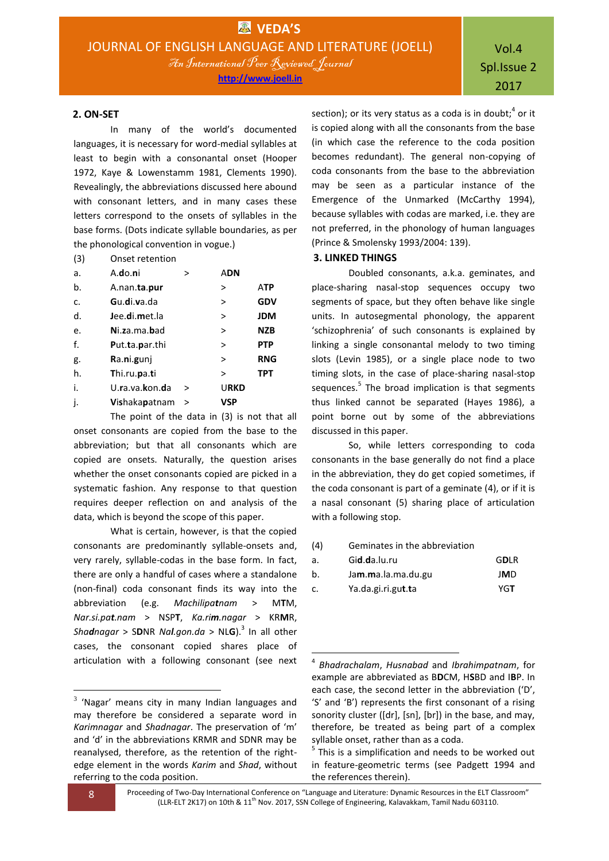**http://www.joell.in**

#### **2. ON-SET**

In many of the world's documented languages, it is necessary for word-medial syllables at least to begin with a consonantal onset (Hooper 1972, Kaye & Lowenstamm 1981, Clements 1990). Revealingly, the abbreviations discussed here abound with consonant letters, and in many cases these letters correspond to the onsets of syllables in the base forms. (Dots indicate syllable boundaries, as per the phonological convention in vogue.)

(3) Onset retention

| a. | A.do.ni              | >      | <b>ADN</b>  |            |
|----|----------------------|--------|-------------|------------|
| b. | A.nan.ta.pur         |        | >           | <b>ATP</b> |
| c. | Gu.di.va.da          |        | $\geq$      | <b>GDV</b> |
| d. | Jee.di.met.la        |        | >           | <b>JDM</b> |
| e. | Ni.za.ma.bad         |        | $\geq$      | <b>NZB</b> |
| f. | Put.ta.par.thi       |        | $\geq$      | <b>PTP</b> |
| g. | Ra.ni.gunj           |        | $\geq$      | <b>RNG</b> |
| h. | Thi.ru.pa.ti         |        | $\geq$      | <b>TPT</b> |
| i. | U.ra.va.kon.da       | >      | <b>URKD</b> |            |
| j. | <b>Vishakapatnam</b> | $\geq$ | VSP         |            |

The point of the data in (3) is not that all onset consonants are copied from the base to the abbreviation; but that all consonants which are copied are onsets. Naturally, the question arises whether the onset consonants copied are picked in a systematic fashion. Any response to that question requires deeper reflection on and analysis of the data, which is beyond the scope of this paper.

What is certain, however, is that the copied consonants are predominantly syllable-onsets and, very rarely, syllable-codas in the base form. In fact, there are only a handful of cases where a standalone (non-final) coda consonant finds its way into the abbreviation (e.g. *Machilipatnam* > M**T**M, *Nar.si.pat.nam* > NSP**T**, *Ka.rim.nagar* > KR**M**R, *Shadnagar* > S**D**NR *Nal.gon.da* > NL**G**).<sup>3</sup> In all other cases, the consonant copied shares place of articulation with a following consonant (see next

section); or its very status as a coda is in doubt;<sup>4</sup> or it is copied along with all the consonants from the base (in which case the reference to the coda position becomes redundant). The general non-copying of coda consonants from the base to the abbreviation may be seen as a particular instance of the Emergence of the Unmarked (McCarthy 1994), because syllables with codas are marked, i.e. they are not preferred, in the phonology of human languages (Prince & Smolensky 1993/2004: 139).

#### **3. LINKED THINGS**

Doubled consonants, a.k.a. geminates, and place-sharing nasal-stop sequences occupy two segments of space, but they often behave like single units. In autosegmental phonology, the apparent 'schizophrenia' of such consonants is explained by linking a single consonantal melody to two timing slots (Levin 1985), or a single place node to two timing slots, in the case of place-sharing nasal-stop sequences.<sup>5</sup> The broad implication is that segments thus linked cannot be separated (Hayes 1986), a point borne out by some of the abbreviations discussed in this paper.

So, while letters corresponding to coda consonants in the base generally do not find a place in the abbreviation, they do get copied sometimes, if the coda consonant is part of a geminate (4), or if it is a nasal consonant (5) sharing place of articulation with a following stop.

(4) Geminates in the abbreviation

| а. | Gid.da.lu.ru       | <b>GDLR</b> |
|----|--------------------|-------------|
| b. | Jam.ma.la.ma.du.gu | JMD         |
| c. | Ya.da.gi.ri.gut.ta | YGT         |

<sup>5</sup> This is a simplification and needs to be worked out in feature-geometric terms (see Padgett 1994 and the references therein).

**.** 

8 Proceeding of Two-Day International Conference on "Language and Literature: Dynamic Resources in the ELT Classroom" (LLR-ELT 2K17) on 10th & 11<sup>th</sup> Nov. 2017, SSN College of Engineering, Kalavakkam, Tamil Nadu 603110.

1

 $3$  'Nagar' means city in many Indian languages and may therefore be considered a separate word in *Karimnagar* and *Shadnagar*. The preservation of 'm' and 'd' in the abbreviations KRMR and SDNR may be reanalysed, therefore, as the retention of the rightedge element in the words *Karim* and *Shad*, without referring to the coda position.

<sup>4</sup> *Bhadrachalam*, *Husnabad* and *Ibrahimpatnam*, for example are abbreviated as B**D**CM, H**S**BD and I**B**P. In each case, the second letter in the abbreviation ('D', 'S' and 'B') represents the first consonant of a rising sonority cluster ([dr], [sn], [br]) in the base, and may, therefore, be treated as being part of a complex syllable onset, rather than as a coda.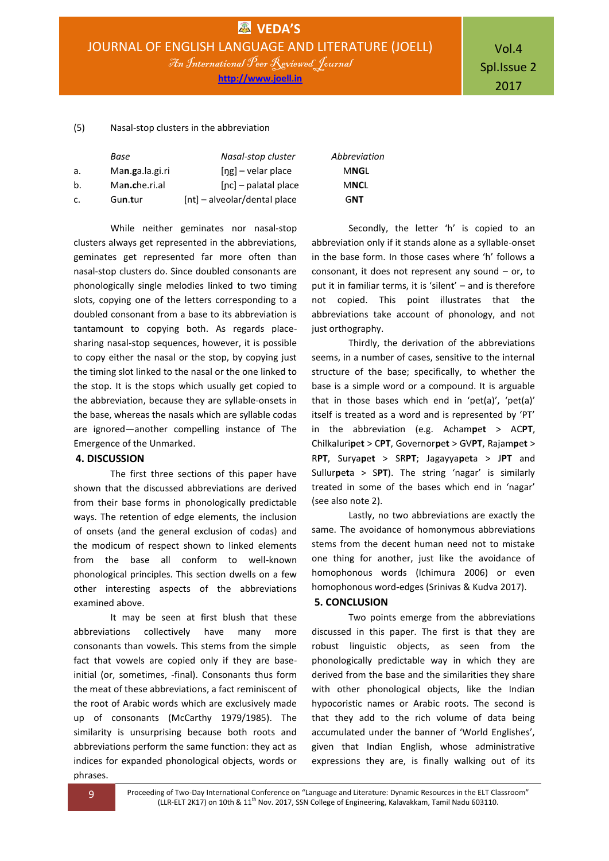**http://www.joell.in**

Vol.4 Spl.Issue 2 2017

#### (5) Nasal-stop clusters in the abbreviation

|    | Base            | Nasal-stop cluster           | Abbrevia |
|----|-----------------|------------------------------|----------|
| a. | Man.ga.la.gi.ri | $[ng]$ – velar place         | MNGL     |
| b. | Man.che.ri.al   | $[nc]$ – palatal place       | MNCL     |
| C. | Gun.tur         | [nt] - alveolar/dental place | GNT      |

While neither geminates nor nasal-stop clusters always get represented in the abbreviations, geminates get represented far more often than nasal-stop clusters do. Since doubled consonants are phonologically single melodies linked to two timing slots, copying one of the letters corresponding to a doubled consonant from a base to its abbreviation is tantamount to copying both. As regards placesharing nasal-stop sequences, however, it is possible to copy either the nasal or the stop, by copying just the timing slot linked to the nasal or the one linked to the stop. It is the stops which usually get copied to the abbreviation, because they are syllable-onsets in the base, whereas the nasals which are syllable codas are ignored—another compelling instance of The Emergence of the Unmarked.

#### **4. DISCUSSION**

The first three sections of this paper have shown that the discussed abbreviations are derived from their base forms in phonologically predictable ways. The retention of edge elements, the inclusion of onsets (and the general exclusion of codas) and the modicum of respect shown to linked elements from the base all conform to well-known phonological principles. This section dwells on a few other interesting aspects of the abbreviations examined above.

It may be seen at first blush that these abbreviations collectively have many more consonants than vowels. This stems from the simple fact that vowels are copied only if they are baseinitial (or, sometimes, -final). Consonants thus form the meat of these abbreviations, a fact reminiscent of the root of Arabic words which are exclusively made up of consonants (McCarthy 1979/1985). The similarity is unsurprising because both roots and abbreviations perform the same function: they act as indices for expanded phonological objects, words or phrases.

*Base Nasal-stop cluster Abbreviation*

Secondly, the letter 'h' is copied to an abbreviation only if it stands alone as a syllable-onset in the base form. In those cases where 'h' follows a consonant, it does not represent any sound – or, to put it in familiar terms, it is 'silent' – and is therefore not copied. This point illustrates that the abbreviations take account of phonology, and not just orthography.

Thirdly, the derivation of the abbreviations seems, in a number of cases, sensitive to the internal structure of the base; specifically, to whether the base is a simple word or a compound. It is arguable that in those bases which end in 'pet(a)', 'pet(a)' itself is treated as a word and is represented by 'PT' in the abbreviation (e.g. Acham**p**e**t** > AC**PT**, Chilkaluri**p**e**t** > C**PT**, Governor**p**e**t** > GV**PT**, Rajam**p**e**t** > R**PT**, Surya**p**e**t** > SR**PT**; Jagayya**p**e**t**a > J**PT** and Sullur**p**e**t**a > S**PT**). The string 'nagar' is similarly treated in some of the bases which end in 'nagar' (see also note 2).

Lastly, no two abbreviations are exactly the same. The avoidance of homonymous abbreviations stems from the decent human need not to mistake one thing for another, just like the avoidance of homophonous words (Ichimura 2006) or even homophonous word-edges (Srinivas & Kudva 2017).

#### **5. CONCLUSION**

Two points emerge from the abbreviations discussed in this paper. The first is that they are robust linguistic objects, as seen from the phonologically predictable way in which they are derived from the base and the similarities they share with other phonological objects, like the Indian hypocoristic names or Arabic roots. The second is that they add to the rich volume of data being accumulated under the banner of 'World Englishes', given that Indian English, whose administrative expressions they are, is finally walking out of its